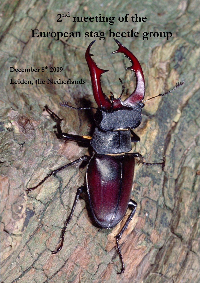# 2<sup>nd</sup> meeting of the **European stag beetle group**

W

December 5<sup>th</sup> 2009 **Leiden, the Netherlands**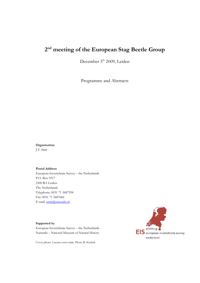## **2nd meeting of the European Stag Beetle Group**

December 5<sup>th</sup> 2009, Leiden

Programme and Abstracts

**Organisation**  J.T. Smit

#### **Postal Address**

European Invertebrate Survey – the Netherlands P.O. Box 9517 2300 RA Leiden The Netherlands Telephone: 0031 71 5687594 Fax: 0031 71 5687666 E-mail: [smitj@naturalis.nl](mailto:smitj@naturalis.nl)

#### **Supported by**

European Invertebrate Survey – the Netherlands Naturalis – National Museum of Natural History

Cover photo: *Lucanus cervus* male. Photo R. Krekels

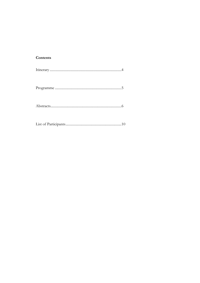## Contents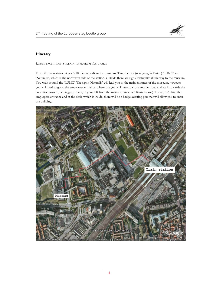

#### **Itinerary**

ROUTE FROM TRAIN STATION TO MUSEUM NATURALIS

From the train station it is a 5-10 minute walk to the museum. Take the exit (= uitgang in Dutch) 'LUMC' and 'Naturalis', which is the northwest side of the station. Outside there are signs 'Naturalis' all the way to the museum. You walk around the 'LUMC'. The signs 'Naturalis' will lead you to the main entrance of the museum, however you will need to go to the employees entrance. Therefore you will have to cross another road and walk towards the collection tower (the big grey tower, to your left from the main entrance, see figure below). There you'll find the employees entrance and at the desk, which is inside, there will be a badge awaiting you that will allow you to enter the building.

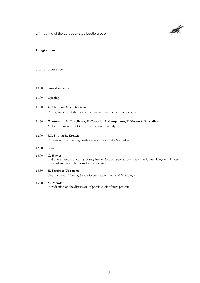

#### **Programme**

Saturday 5 December

- 10.00 Arrival and coffee
- 11.00 Opening
- 11.00 **A. Thomaes & K. De Gelas**  Phylogeography of the stag beetle *Lucanus cervus*: outline and perspectives
- 11.30 **G. Antonini, S. Cortellessa, P. Cerretti1, A. Campanaro, F. Mason & P. Audisio** Molecular taxonomy of the genus *Lucanus* L. in Italy

#### 12.00 **J.T. Smit & R. Krekels**

Conservation of the stag beetle *Lucanus cervus* in the Netherlands

12.30 Lunch

#### 14.00 **C. Hawes** Radio-telemetric monitoring of stag beetles *Lucanus cervus* at two sites in the United Kingdom: limited dispersal and its implications for conservation

- 14.30 **E. Sprecher-Uebersax** New pictures of the stag beetle *Lucanus cervus* in Art and Mythology
- 15.00 **M. Mendez**

Introduction on the discussion of possible joint future projects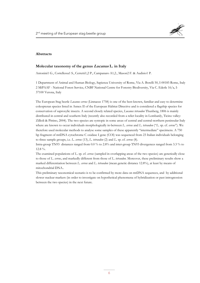

#### **Abstracts**

#### **Molecular taxonomy of the genus Lucanus L. in Italy**

Antonini1 G., Cortellessa1 S., Cerretti1,2 P., Campanaro A1,2., Mason2 F. & Audisio1 P.

1 Department of Animal and Human Biology, Sapienza University of Rome, Via A. Borelli 50, I-00185 Rome, Italy 2 MiPAAF - National Forest Service, CNBF National Centre for Forestry Biodiversity, Via C. Ederle 16/a, I-37100 Verona, Italy

The European Stag beetle *Lucanus cervus* (Linnaeus 1758) is one of the best-known, familiar and easy to determine coleopteran species listed in Annex II of the European Habitat Directive and is considered a flagship species for conservation of saproxylic insects. A second closely related species, *Lucanus tetraodon* Thunberg, 1806 is mainly distributed in central and southern Italy (recently also recorded from a relict locality in Lombardy, Ticino valley: Zillioli & Pittino, 2004). The two species are syntopic in some areas of central and central-northern peninsular Italy where are known to occur individuals morphologically in-between *L. cervus* and *L. tetraodon* ("*L*. sp. cf. *cervus*"). We therefore used molecular methods to analyse some samples of these apparently "intermediate" specimens. A 750 bp fragment of mtDNA cytochrome C oxidase I gene (COI) was sequenced from 23 Italian individuals belonging to three sample groups, i.e. *L. cervus* (13), *L. tetraodon* (2) and *L*. sp. cf. *cervus* (8).

Intra-group TN93 distances ranged from 0.0 % to 2.8% and inter-group TN93 divergences ranged from 3.3 % to 12.8 %.

The examined populations of *L*. sp. cf. *cervus* (sampled in overlapping areas of the two species) are genetically close to those of *L. cervus*, and markedly different from those of *L. tetraodon*. Moreover, these preliminary results show a marked differentiation between *L. cervus* and *L. tetraodon* (mean genetic distance 12.8%), at least by means of mitochondrial DNA..

This preliminary taxonomical scenario is to be confirmed by more data on mtDNA sequences, and by additional slower nuclear markers (in order to investigate on hypothetical phenomena of hybridization or past introgression between the two species) in the next future.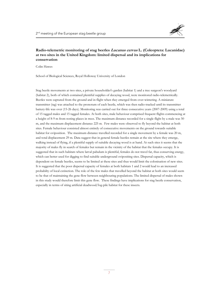### **Radio-telemetric monitoring of stag beetles Lucanus cervus L. (Coleoptera: Lucanidae) at two sites in the United Kingdom: limited dispersal and its implications for conservation**

Colin Hawes

School of Biological Sciences, Royal Holloway University of London

Stag beetle movements at two sites, a private householder's garden (habitat 1) and a tree surgeon's woodyard (habitat 2), both of which contained plentiful supplies of decaying wood, were monitored radio-telemetrically. Beetles were captured from the ground and in flight when they emerged from over-wintering. A miniature transmitter (tag) was attached to the pronotum of each beetle, which was then radio-tracked until its transmitter battery-life was over (15-26 days). Monitoring was carried out for three consecutive years (2007-2009) using a total of 15 tagged males and 15 tagged females. At both sites, male behaviour comprised frequent flights commencing at a height of 8-9 m from resting places in trees. The maximum distance recorded for a single flight by a male was 50 m, and the maximum displacement distance 225 m. Few males were observed to fly beyond the habitat at both sites. Female behaviour consisted almost entirely of consecutive movements on the ground towards suitable habitat for oviposition. The maximum distance travelled recorded for a single movement by a female was 20 m, and total displacement 29 m. Data suggest that in general female beetles remain at the site where they emerge, walking instead of flying, if a plentiful supply of suitable decaying wood is at hand. At such sites it seems that the majority of males fly in search of females but remain in the vicinity of the habitat that the females occupy. It is suggested that in such habitats where larval pabulum is plentiful, females do not travel far, thus conserving energy, which can better used for digging to find suitable underground ovipositing sites. Dispersal capacity, which is dependent on female beetles, seems to be limited at these sites and thus would limit the colonisation of new sites. It is suggested that the poor dispersal capacity of females at both habitats 1 and 2 would lead to an increased probabilty of local extinction. The role of the few males that travelled beyond the habitat at both sites would seem to be that of maintaining the gene flow between neighbouring populations. The limited dispersal of males shown in this study would therefore limit this gene flow. These findings have implications for stag beetle conservation, especially in terms of siting artificial deadwood/log-pile habitat for these insects.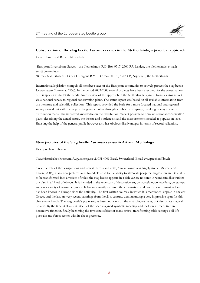

#### **Conservation of the stag beetle Lucanus cervus in the Netherlands; a practical approach**

John T. Smit<sup>1</sup> and René F.M. Krekels<sup>2</sup>

1European Invertebrate Survey - the Netherlands, P.O. Box 9517, 2300 RA, Leiden, the Netherlands, e-mail: smitj@naturalis.nl

2Bureau Natuurbalans - Limes Divergens B.V., P.O. Box 31070, 6503 CB, Nijmegen, the Netherlands

International legislation compels all member states of the European community to actively protect the stag beetle *Lucanus cervus* (Linnaeus, 1758). In the period 2003-2008 several projects have been executed for the conservation of this species in the Netherlands. An overview of the approach in the Netherlands is given: from a status report via a national survey to regional conservation plans. The status report was based on all available information from the literature and scientific collection. This report provided the basis for a more focused national and regional survey carried out with the help of the general public through a publicity campaign, resulting in very accurate distribution maps. The improved knowledge on the distribution made it possible to draw up regional conservation plans, describing the actual status, the threats and bottlenecks and the measurements needed at population level. Enlisting the help of the general public however also has obvious disadvantages in terms of record validation.

#### **New pictures of the Stag beetle Lucanus cervus in Art and Mythology**

Eva Sprecher-Uebersax

Naturhistorisches Museum, Augustinergasse 2, CH-4001 Basel, Switzerland. Email eva.sprecher@bs.ch

Since the role of the conspicuous and largest European beetle, *Lucanus cervus*, was largely studied (Sprecher & Taroni, 2004), many new pictures were found. Thanks to the ability to stimulate people's imagination and its ability to be transformed into a variety of roles, the stag beetle appears in a rich variety not only in wonderful illustrations but also in all kind of objects. It is included in the repertory of decorative art, on porcelain, on jewellery, on stamps and on a variety of consumer goods. It has incessantly captured the imagination and fascination of mankind and has been known in Europe since the antiquity. The first written sources, in which it is mentioned, appear in ancient Greece and the last are very recent paintings from the 21st century, demonstrating a very impressive span for this charismatic beetle. The stag beetle's popularity is based not only on the mythological tales, but also on its magical powers. By the time, it slowly rid itself of the once assigned symbolic meaning and took on a descriptive and decorative function, finally becoming the favourite subject of many artists, transforming table settings, still-life portraits and forest scenes with its sheer presence.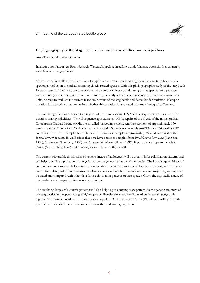

#### **Phylogeography of the stag beetle Lucanus cervus: outline and perspectives**

Arno Thomaes & Koen De Gelas

Instituut voor Natuur- en Bosonderzoek, Wetenschappelijke instelling van de Vlaamse overheid, Gaverstraat 4, 9500 Geraardsbergen, België

Molecular markers allow for a detection of cryptic variation and can shed a light on the long term history of a species, as well as on the radiation among closely related species. With this phylogeographic study of the stag beetle *Lucanus cervus* (L, 1758) we want to elucidate the colonisation history and timing of this species from putative southern refugia after the last ice-age. Furthermore, the study will allow us to delineate evolutionary significant units, helping to evaluate the current taxonomic status of the stag beetle and detect hidden variation. If cryptic variation is detected, we plan to analyse whether this variation is associated with morphological differences.

To reach the goals of our project, two regions of the mitochondrial DNA will be sequenced and evaluated for variation among individuals. We will sequence approximately 700 basepairs of the 5' end of the mitochondrial Cytochrome Oxidase I gene (COI), the so-called 'barcoding region'. Another segment of approximately 850 basepairs at the 3' end of the COI gene will be analysed. Our samples currently (n=213) cover 64 localities (17 countries) with 1 to 10 samples for each locality. From these samples approximately 28 are determined as the forma '*turcicus*' (Sturm, 1843). Besides these we have access to samples from *Pseudolucanus barbarossa* (Fabricius, 1801), *L. tetraodon* (Thunberg, 1806) and *L. cervus* '*akbesianus*' (Planet, 1896). If possible we hope to include *L. ibericus* (Motschulsky, 1845) and *L. cervus judaicus* (Planet, 1902) as well.

The current geographic distribution of genetic lineages (haplotypes) will be used to infer colonisation patterns and can help to outline a protection strategy based on the genetic variation of the species. The knowledge on historical colonisation processes can help us to better understand the limitations in the colonisation capacity of this species and to formulate protection measures on a landscape scale. Possibly, the division between major phylogroups can be dated and compared with other data from colonization patterns of tree species. Given the saproxylic nature of the beetles we can expect to find some associations.

The results on large scale genetic patterns will also help to put contemporary patterns in the genetic structure of the stag beetles in perspective, e.g. a higher genetic diversity for microsatellite markers in certain geographic regions. Microsatellite markers are currently developed by D. Harvey and P. Shaw (RHUL) and will open up the possibility for detailed research on interactions within and among populations.